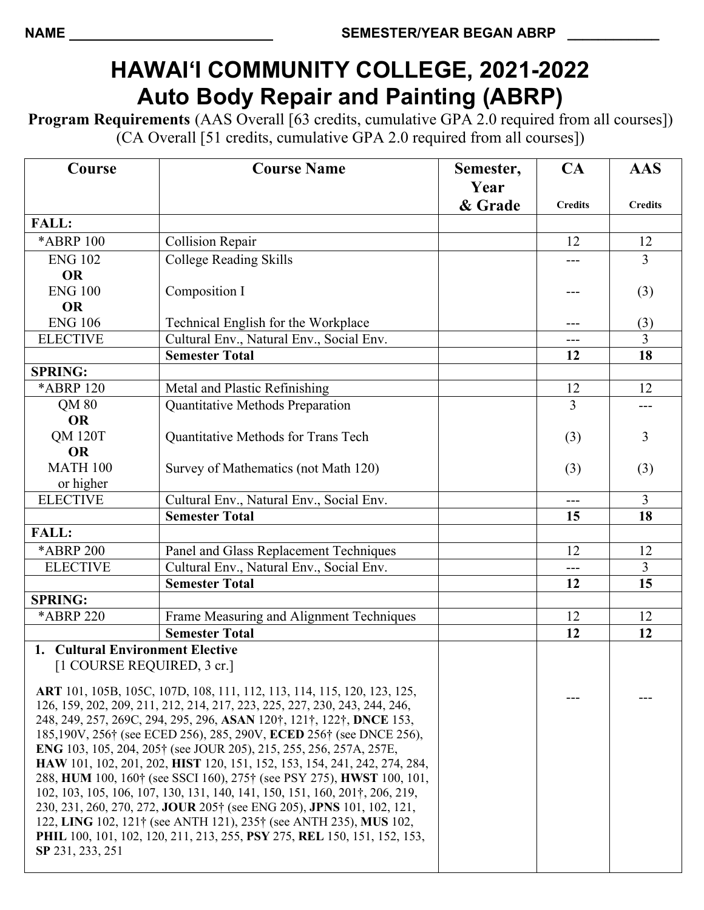## **HAWAI'I COMMUNITY COLLEGE, 2021-2022 Auto Body Repair and Painting (ABRP)**

**Program Requirements** (AAS Overall [63 credits, cumulative GPA 2.0 required from all courses]) (CA Overall [51 credits, cumulative GPA 2.0 required from all courses])

| Course                                                                                                                                             | <b>Course Name</b>                       | Semester,       | CA             | <b>AAS</b>     |
|----------------------------------------------------------------------------------------------------------------------------------------------------|------------------------------------------|-----------------|----------------|----------------|
|                                                                                                                                                    |                                          | Year<br>& Grade | <b>Credits</b> | <b>Credits</b> |
| <b>FALL:</b>                                                                                                                                       |                                          |                 |                |                |
| *ABRP 100                                                                                                                                          | <b>Collision Repair</b>                  |                 | 12             | 12             |
| <b>ENG 102</b>                                                                                                                                     | <b>College Reading Skills</b>            |                 | ---            | 3              |
| <b>OR</b>                                                                                                                                          |                                          |                 |                |                |
| <b>ENG 100</b>                                                                                                                                     | Composition I                            |                 | ---            | (3)            |
| <b>OR</b>                                                                                                                                          |                                          |                 |                |                |
| <b>ENG 106</b>                                                                                                                                     | Technical English for the Workplace      |                 | ---            | (3)            |
| <b>ELECTIVE</b>                                                                                                                                    | Cultural Env., Natural Env., Social Env. |                 | ---            | 3              |
|                                                                                                                                                    | <b>Semester Total</b>                    |                 | 12             | 18             |
| <b>SPRING:</b>                                                                                                                                     |                                          |                 |                |                |
| *ABRP 120                                                                                                                                          | Metal and Plastic Refinishing            |                 | 12             | 12             |
| QM 80                                                                                                                                              | Quantitative Methods Preparation         |                 | 3              | ---            |
| <b>OR</b>                                                                                                                                          |                                          |                 |                |                |
| <b>QM 120T</b>                                                                                                                                     | Quantitative Methods for Trans Tech      |                 | (3)            | 3              |
| <b>OR</b>                                                                                                                                          |                                          |                 |                |                |
| <b>MATH 100</b>                                                                                                                                    | Survey of Mathematics (not Math 120)     |                 | (3)            | (3)            |
| or higher                                                                                                                                          |                                          |                 |                |                |
| <b>ELECTIVE</b>                                                                                                                                    | Cultural Env., Natural Env., Social Env. |                 | $---$          | 3              |
|                                                                                                                                                    | <b>Semester Total</b>                    |                 | 15             | 18             |
| <b>FALL:</b>                                                                                                                                       |                                          |                 |                |                |
| <b>*ABRP 200</b>                                                                                                                                   | Panel and Glass Replacement Techniques   |                 | 12             | 12             |
| <b>ELECTIVE</b>                                                                                                                                    | Cultural Env., Natural Env., Social Env. |                 | ---            | $\mathfrak{Z}$ |
|                                                                                                                                                    | <b>Semester Total</b>                    |                 | 12             | 15             |
| <b>SPRING:</b>                                                                                                                                     |                                          |                 |                |                |
| *ABRP 220                                                                                                                                          | Frame Measuring and Alignment Techniques |                 | 12             | 12             |
|                                                                                                                                                    | <b>Semester Total</b>                    |                 | 12             | 12             |
| 1. Cultural Environment Elective                                                                                                                   |                                          |                 |                |                |
| [1 COURSE REQUIRED, 3 cr.]                                                                                                                         |                                          |                 |                |                |
| ART 101, 105B, 105C, 107D, 108, 111, 112, 113, 114, 115, 120, 123, 125,                                                                            |                                          |                 |                |                |
| 126, 159, 202, 209, 211, 212, 214, 217, 223, 225, 227, 230, 243, 244, 246,                                                                         |                                          |                 |                |                |
| 248, 249, 257, 269C, 294, 295, 296, ASAN 120 <sup>†</sup> , 121 <sup>†</sup> , 122 <sup>†</sup> , DNCE 153,                                        |                                          |                 |                |                |
| 185,190V, 256† (see ECED 256), 285, 290V, ECED 256† (see DNCE 256),                                                                                |                                          |                 |                |                |
| <b>ENG</b> 103, 105, 204, 205† (see JOUR 205), 215, 255, 256, 257A, 257E,                                                                          |                                          |                 |                |                |
| HAW 101, 102, 201, 202, HIST 120, 151, 152, 153, 154, 241, 242, 274, 284,<br>288, HUM 100, 160† (see SSCI 160), 275† (see PSY 275), HWST 100, 101, |                                          |                 |                |                |
| 102, 103, 105, 106, 107, 130, 131, 140, 141, 150, 151, 160, 201†, 206, 219,                                                                        |                                          |                 |                |                |
| 230, 231, 260, 270, 272, JOUR 205† (see ENG 205), JPNS 101, 102, 121,                                                                              |                                          |                 |                |                |
| 122, LING 102, 121† (see ANTH 121), 235† (see ANTH 235), MUS 102,                                                                                  |                                          |                 |                |                |
| PHIL 100, 101, 102, 120, 211, 213, 255, PSY 275, REL 150, 151, 152, 153,                                                                           |                                          |                 |                |                |
| SP 231, 233, 251                                                                                                                                   |                                          |                 |                |                |
|                                                                                                                                                    |                                          |                 |                |                |